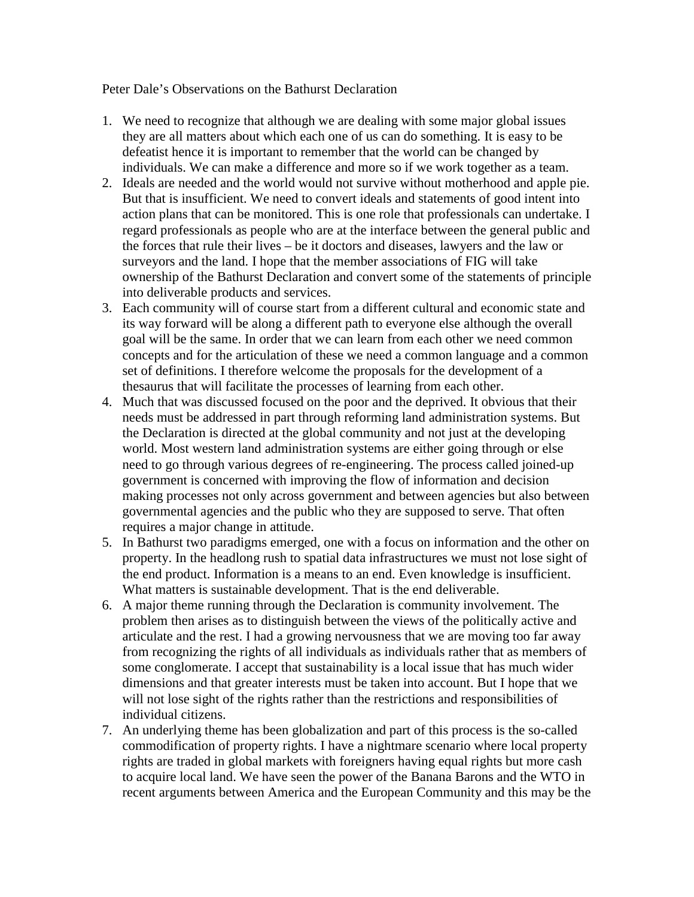Peter Dale's Observations on the Bathurst Declaration

- 1. We need to recognize that although we are dealing with some major global issues they are all matters about which each one of us can do something. It is easy to be defeatist hence it is important to remember that the world can be changed by individuals. We can make a difference and more so if we work together as a team.
- 2. Ideals are needed and the world would not survive without motherhood and apple pie. But that is insufficient. We need to convert ideals and statements of good intent into action plans that can be monitored. This is one role that professionals can undertake. I regard professionals as people who are at the interface between the general public and the forces that rule their lives – be it doctors and diseases, lawyers and the law or surveyors and the land. I hope that the member associations of FIG will take ownership of the Bathurst Declaration and convert some of the statements of principle into deliverable products and services.
- 3. Each community will of course start from a different cultural and economic state and its way forward will be along a different path to everyone else although the overall goal will be the same. In order that we can learn from each other we need common concepts and for the articulation of these we need a common language and a common set of definitions. I therefore welcome the proposals for the development of a thesaurus that will facilitate the processes of learning from each other.
- 4. Much that was discussed focused on the poor and the deprived. It obvious that their needs must be addressed in part through reforming land administration systems. But the Declaration is directed at the global community and not just at the developing world. Most western land administration systems are either going through or else need to go through various degrees of re-engineering. The process called joined-up government is concerned with improving the flow of information and decision making processes not only across government and between agencies but also between governmental agencies and the public who they are supposed to serve. That often requires a major change in attitude.
- 5. In Bathurst two paradigms emerged, one with a focus on information and the other on property. In the headlong rush to spatial data infrastructures we must not lose sight of the end product. Information is a means to an end. Even knowledge is insufficient. What matters is sustainable development. That is the end deliverable.
- 6. A major theme running through the Declaration is community involvement. The problem then arises as to distinguish between the views of the politically active and articulate and the rest. I had a growing nervousness that we are moving too far away from recognizing the rights of all individuals as individuals rather that as members of some conglomerate. I accept that sustainability is a local issue that has much wider dimensions and that greater interests must be taken into account. But I hope that we will not lose sight of the rights rather than the restrictions and responsibilities of individual citizens.
- 7. An underlying theme has been globalization and part of this process is the so-called commodification of property rights. I have a nightmare scenario where local property rights are traded in global markets with foreigners having equal rights but more cash to acquire local land. We have seen the power of the Banana Barons and the WTO in recent arguments between America and the European Community and this may be the